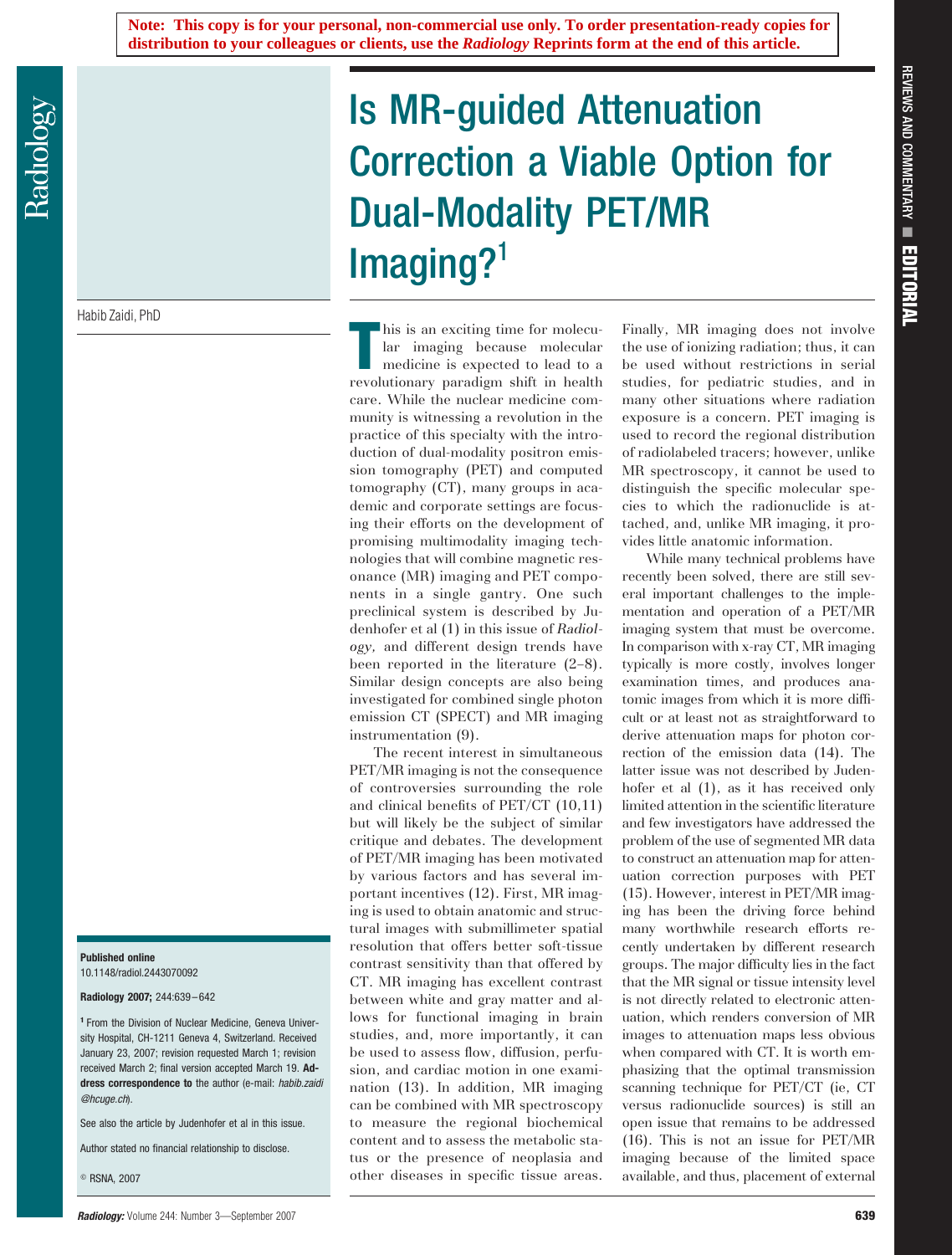Habib Zaidi, PhD

## **Published online** 10.1148/radiol.2443070092

**Radiology 2007;** 244:639 – 642

**<sup>1</sup>** From the Division of Nuclear Medicine, Geneva University Hospital, CH-1211 Geneva 4, Switzerland. Received January 23, 2007; revision requested March 1; revision received March 2; final version accepted March 19. **Address correspondence to** the author (e-mail: *habib.zaidi @hcuge.ch*).

See also the article by Judenhofer et al in this issue.

Author stated no financial relationship to disclose.

RSNA, 2007

## Is MR-guided Attenuation Correction a Viable Option for Dual-Modality PET/MR  $Imaging?$ <sup>1</sup>

This is an exciting time for molecular<br>
Intervolutionary paradigm shift in health<br>
revolutionary paradigm shift in health his is an exciting time for molecular imaging because molecular medicine is expected to lead to a care. While the nuclear medicine community is witnessing a revolution in the practice of this specialty with the introduction of dual-modality positron emission tomography (PET) and computed tomography (CT), many groups in academic and corporate settings are focusing their efforts on the development of promising multimodality imaging technologies that will combine magnetic resonance (MR) imaging and PET components in a single gantry. One such preclinical system is described by Judenhofer et al (1) in this issue of *Radiology,* and different design trends have been reported in the literature (2–8). Similar design concepts are also being investigated for combined single photon emission CT (SPECT) and MR imaging instrumentation (9).

The recent interest in simultaneous PET/MR imaging is not the consequence of controversies surrounding the role and clinical benefits of PET/CT (10,11) but will likely be the subject of similar critique and debates. The development of PET/MR imaging has been motivated by various factors and has several important incentives (12). First, MR imaging is used to obtain anatomic and structural images with submillimeter spatial resolution that offers better soft-tissue contrast sensitivity than that offered by CT. MR imaging has excellent contrast between white and gray matter and allows for functional imaging in brain studies, and, more importantly, it can be used to assess flow, diffusion, perfusion, and cardiac motion in one examination (13). In addition, MR imaging can be combined with MR spectroscopy to measure the regional biochemical content and to assess the metabolic status or the presence of neoplasia and other diseases in specific tissue areas. Finally, MR imaging does not involve the use of ionizing radiation; thus, it can be used without restrictions in serial studies, for pediatric studies, and in many other situations where radiation exposure is a concern. PET imaging is used to record the regional distribution of radiolabeled tracers; however, unlike MR spectroscopy, it cannot be used to distinguish the specific molecular species to which the radionuclide is attached, and, unlike MR imaging, it provides little anatomic information.

While many technical problems have recently been solved, there are still several important challenges to the implementation and operation of a PET/MR imaging system that must be overcome. In comparison with x-ray CT, MR imaging typically is more costly, involves longer examination times, and produces anatomic images from which it is more difficult or at least not as straightforward to derive attenuation maps for photon correction of the emission data (14). The latter issue was not described by Judenhofer et al  $(1)$ , as it has received only limited attention in the scientific literature and few investigators have addressed the problem of the use of segmented MR data to construct an attenuation map for attenuation correction purposes with PET (15). However, interest in PET/MR imaging has been the driving force behind many worthwhile research efforts recently undertaken by different research groups. The major difficulty lies in the fact that the MR signal or tissue intensity level is not directly related to electronic attenuation, which renders conversion of MR images to attenuation maps less obvious when compared with CT. It is worth emphasizing that the optimal transmission scanning technique for PET/CT (ie, CT versus radionuclide sources) is still an open issue that remains to be addressed (16). This is not an issue for PET/MR imaging because of the limited space available, and thus, placement of external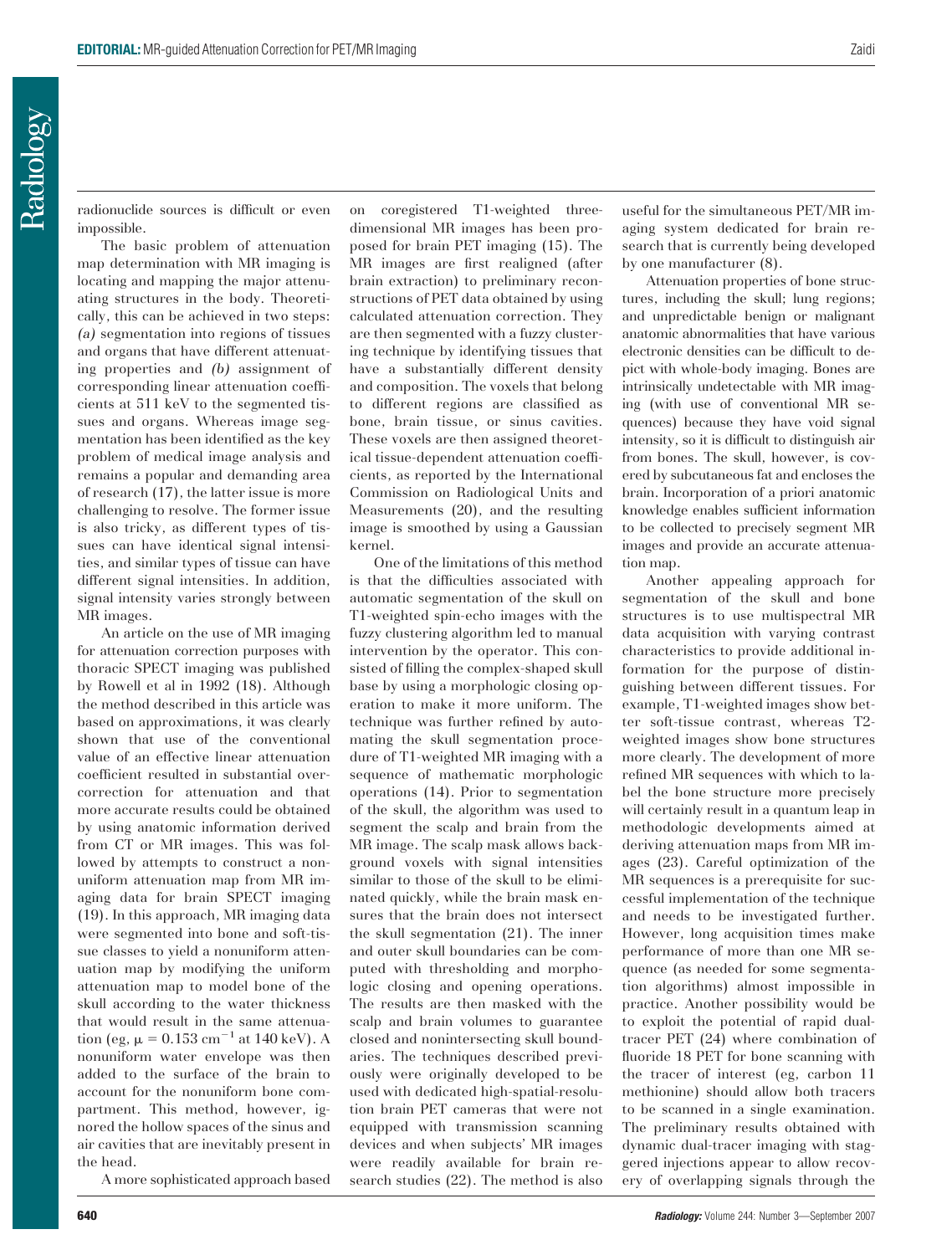radionuclide sources is difficult or even impossible.

The basic problem of attenuation map determination with MR imaging is locating and mapping the major attenuating structures in the body. Theoretically, this can be achieved in two steps: *(a)* segmentation into regions of tissues and organs that have different attenuating properties and *(b)* assignment of corresponding linear attenuation coefficients at 511 keV to the segmented tissues and organs. Whereas image segmentation has been identified as the key problem of medical image analysis and remains a popular and demanding area of research (17), the latter issue is more challenging to resolve. The former issue is also tricky, as different types of tissues can have identical signal intensities, and similar types of tissue can have different signal intensities. In addition, signal intensity varies strongly between MR images.

An article on the use of MR imaging for attenuation correction purposes with thoracic SPECT imaging was published by Rowell et al in 1992 (18). Although the method described in this article was based on approximations, it was clearly shown that use of the conventional value of an effective linear attenuation coefficient resulted in substantial overcorrection for attenuation and that more accurate results could be obtained by using anatomic information derived from CT or MR images. This was followed by attempts to construct a nonuniform attenuation map from MR imaging data for brain SPECT imaging (19). In this approach, MR imaging data were segmented into bone and soft-tissue classes to yield a nonuniform attenuation map by modifying the uniform attenuation map to model bone of the skull according to the water thickness that would result in the same attenuation (eg,  $\mu = 0.153$  cm<sup>-1</sup> at 140 keV). A nonuniform water envelope was then added to the surface of the brain to account for the nonuniform bone compartment. This method, however, ignored the hollow spaces of the sinus and air cavities that are inevitably present in the head.

A more sophisticated approach based

on coregistered T1-weighted threedimensional MR images has been proposed for brain PET imaging (15). The MR images are first realigned (after brain extraction) to preliminary reconstructions of PET data obtained by using calculated attenuation correction. They are then segmented with a fuzzy clustering technique by identifying tissues that have a substantially different density and composition. The voxels that belong to different regions are classified as bone, brain tissue, or sinus cavities. These voxels are then assigned theoretical tissue-dependent attenuation coefficients, as reported by the International Commission on Radiological Units and Measurements (20), and the resulting image is smoothed by using a Gaussian kernel.

One of the limitations of this method is that the difficulties associated with automatic segmentation of the skull on T1-weighted spin-echo images with the fuzzy clustering algorithm led to manual intervention by the operator. This consisted of filling the complex-shaped skull base by using a morphologic closing operation to make it more uniform. The technique was further refined by automating the skull segmentation procedure of T1-weighted MR imaging with a sequence of mathematic morphologic operations (14). Prior to segmentation of the skull, the algorithm was used to segment the scalp and brain from the MR image. The scalp mask allows background voxels with signal intensities similar to those of the skull to be eliminated quickly, while the brain mask ensures that the brain does not intersect the skull segmentation (21). The inner and outer skull boundaries can be computed with thresholding and morphologic closing and opening operations. The results are then masked with the scalp and brain volumes to guarantee closed and nonintersecting skull boundaries. The techniques described previously were originally developed to be used with dedicated high-spatial-resolution brain PET cameras that were not equipped with transmission scanning devices and when subjects' MR images were readily available for brain research studies (22). The method is also useful for the simultaneous PET/MR imaging system dedicated for brain research that is currently being developed by one manufacturer (8).

Attenuation properties of bone structures, including the skull; lung regions; and unpredictable benign or malignant anatomic abnormalities that have various electronic densities can be difficult to depict with whole-body imaging. Bones are intrinsically undetectable with MR imaging (with use of conventional MR sequences) because they have void signal intensity, so it is difficult to distinguish air from bones. The skull, however, is covered by subcutaneous fat and encloses the brain. Incorporation of a priori anatomic knowledge enables sufficient information to be collected to precisely segment MR images and provide an accurate attenuation map.

Another appealing approach for segmentation of the skull and bone structures is to use multispectral MR data acquisition with varying contrast characteristics to provide additional information for the purpose of distinguishing between different tissues. For example, T1-weighted images show better soft-tissue contrast, whereas T2 weighted images show bone structures more clearly. The development of more refined MR sequences with which to label the bone structure more precisely will certainly result in a quantum leap in methodologic developments aimed at deriving attenuation maps from MR images (23). Careful optimization of the MR sequences is a prerequisite for successful implementation of the technique and needs to be investigated further. However, long acquisition times make performance of more than one MR sequence (as needed for some segmentation algorithms) almost impossible in practice. Another possibility would be to exploit the potential of rapid dualtracer PET (24) where combination of fluoride 18 PET for bone scanning with the tracer of interest (eg, carbon 11 methionine) should allow both tracers to be scanned in a single examination. The preliminary results obtained with dynamic dual-tracer imaging with staggered injections appear to allow recovery of overlapping signals through the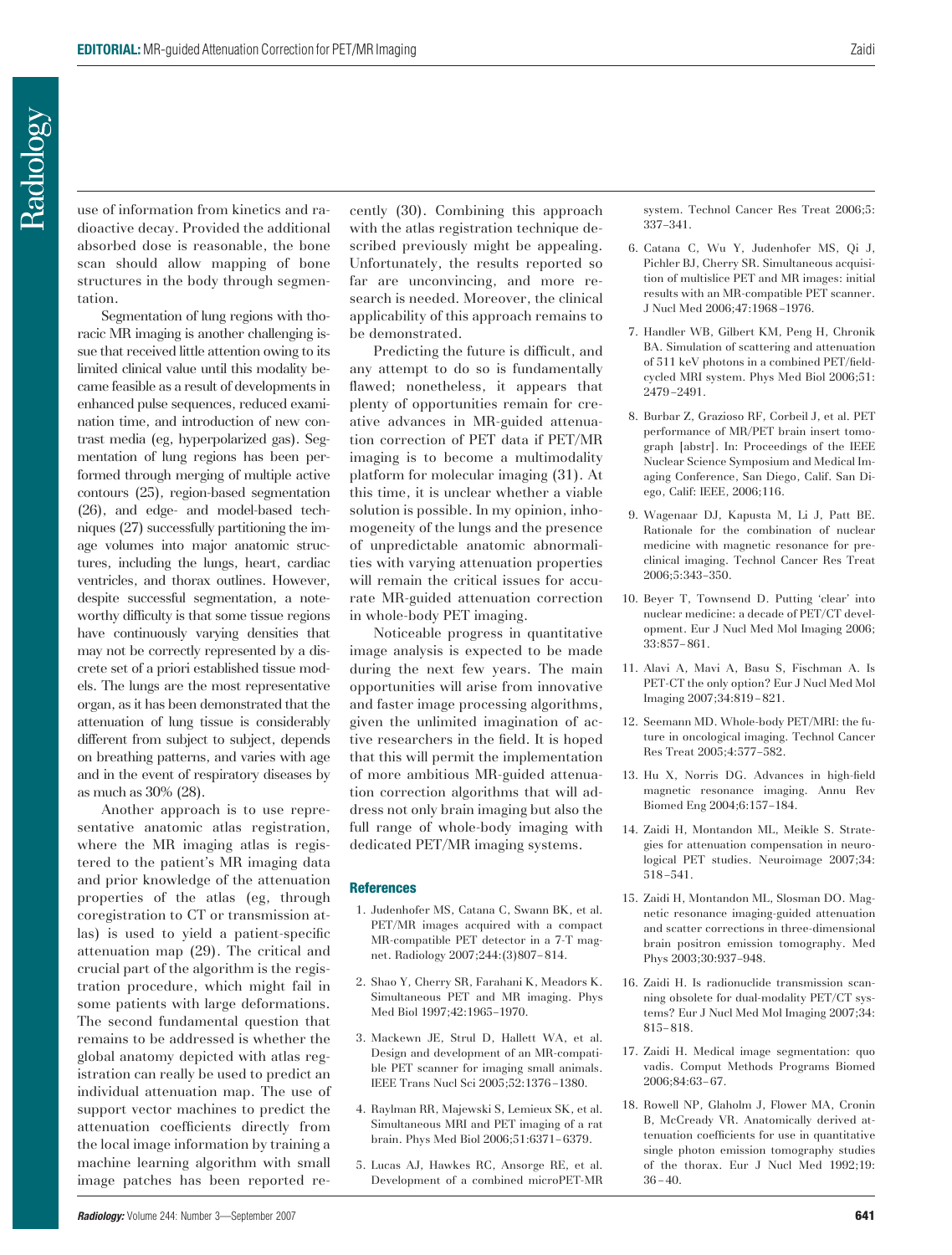use of information from kinetics and radioactive decay. Provided the additional absorbed dose is reasonable, the bone scan should allow mapping of bone structures in the body through segmentation.

Segmentation of lung regions with thoracic MR imaging is another challenging issue that received little attention owing to its limited clinical value until this modality became feasible as a result of developments in enhanced pulse sequences, reduced examination time, and introduction of new contrast media (eg, hyperpolarized gas). Segmentation of lung regions has been performed through merging of multiple active contours (25), region-based segmentation (26), and edge- and model-based techniques (27) successfully partitioning the image volumes into major anatomic structures, including the lungs, heart, cardiac ventricles, and thorax outlines. However, despite successful segmentation, a noteworthy difficulty is that some tissue regions have continuously varying densities that may not be correctly represented by a discrete set of a priori established tissue models. The lungs are the most representative organ, as it has been demonstrated that the attenuation of lung tissue is considerably different from subject to subject, depends on breathing patterns, and varies with age and in the event of respiratory diseases by as much as 30% (28).

Another approach is to use representative anatomic atlas registration, where the MR imaging atlas is registered to the patient's MR imaging data and prior knowledge of the attenuation properties of the atlas (eg, through coregistration to CT or transmission atlas) is used to yield a patient-specific attenuation map (29). The critical and crucial part of the algorithm is the registration procedure, which might fail in some patients with large deformations. The second fundamental question that remains to be addressed is whether the global anatomy depicted with atlas registration can really be used to predict an individual attenuation map. The use of support vector machines to predict the attenuation coefficients directly from the local image information by training a machine learning algorithm with small image patches has been reported recently (30). Combining this approach with the atlas registration technique described previously might be appealing. Unfortunately, the results reported so far are unconvincing, and more research is needed. Moreover, the clinical applicability of this approach remains to be demonstrated.

Predicting the future is difficult, and any attempt to do so is fundamentally flawed; nonetheless, it appears that plenty of opportunities remain for creative advances in MR-guided attenuation correction of PET data if PET/MR imaging is to become a multimodality platform for molecular imaging (31). At this time, it is unclear whether a viable solution is possible. In my opinion, inhomogeneity of the lungs and the presence of unpredictable anatomic abnormalities with varying attenuation properties will remain the critical issues for accurate MR-guided attenuation correction in whole-body PET imaging.

Noticeable progress in quantitative image analysis is expected to be made during the next few years. The main opportunities will arise from innovative and faster image processing algorithms, given the unlimited imagination of active researchers in the field. It is hoped that this will permit the implementation of more ambitious MR-guided attenuation correction algorithms that will address not only brain imaging but also the full range of whole-body imaging with dedicated PET/MR imaging systems.

## **References**

- 1. Judenhofer MS, Catana C, Swann BK, et al. PET/MR images acquired with a compact MR-compatible PET detector in a 7-T magnet. Radiology 2007;244:(3)807– 814.
- 2. Shao Y, Cherry SR, Farahani K, Meadors K. Simultaneous PET and MR imaging. Phys Med Biol 1997;42:1965–1970.
- 3. Mackewn JE, Strul D, Hallett WA, et al. Design and development of an MR-compatible PET scanner for imaging small animals. IEEE Trans Nucl Sci 2005;52:1376 –1380.
- 4. Raylman RR, Majewski S, Lemieux SK, et al. Simultaneous MRI and PET imaging of a rat brain. Phys Med Biol 2006;51:6371– 6379.
- 5. Lucas AJ, Hawkes RC, Ansorge RE, et al. Development of a combined microPET-MR

system. Technol Cancer Res Treat 2006;5: 337–341.

- 6. Catana C, Wu Y, Judenhofer MS, Qi J, Pichler BJ, Cherry SR. Simultaneous acquisition of multislice PET and MR images: initial results with an MR-compatible PET scanner. J Nucl Med 2006;47:1968 –1976.
- 7. Handler WB, Gilbert KM, Peng H, Chronik BA. Simulation of scattering and attenuation of 511 keV photons in a combined PET/fieldcycled MRI system. Phys Med Biol 2006;51: 2479 –2491.
- 8. Burbar Z, Grazioso RF, Corbeil J, et al. PET performance of MR/PET brain insert tomograph [abstr]. In: Proceedings of the IEEE Nuclear Science Symposium and Medical Imaging Conference, San Diego, Calif. San Diego, Calif: IEEE, 2006;116.
- 9. Wagenaar DJ, Kapusta M, Li J, Patt BE. Rationale for the combination of nuclear medicine with magnetic resonance for preclinical imaging. Technol Cancer Res Treat 2006;5:343–350.
- 10. Beyer T, Townsend D. Putting 'clear' into nuclear medicine: a decade of PET/CT development. Eur J Nucl Med Mol Imaging 2006; 33:857– 861.
- 11. Alavi A, Mavi A, Basu S, Fischman A. Is PET-CT the only option? Eur J Nucl Med Mol Imaging 2007;34:819 – 821.
- 12. Seemann MD. Whole-body PET/MRI: the future in oncological imaging. Technol Cancer Res Treat 2005;4:577–582.
- 13. Hu X, Norris DG. Advances in high-field magnetic resonance imaging. Annu Rev Biomed Eng 2004;6:157–184.
- 14. Zaidi H, Montandon ML, Meikle S. Strategies for attenuation compensation in neurological PET studies. Neuroimage 2007;34: 518 –541.
- 15. Zaidi H, Montandon ML, Slosman DO. Magnetic resonance imaging-guided attenuation and scatter corrections in three-dimensional brain positron emission tomography. Med Phys 2003;30:937–948.
- 16. Zaidi H. Is radionuclide transmission scanning obsolete for dual-modality PET/CT systems? Eur J Nucl Med Mol Imaging 2007;34: 815– 818.
- 17. Zaidi H. Medical image segmentation: quo vadis. Comput Methods Programs Biomed 2006;84:63– 67.
- 18. Rowell NP, Glaholm J, Flower MA, Cronin B, McCready VR. Anatomically derived attenuation coefficients for use in quantitative single photon emission tomography studies of the thorax. Eur J Nucl Med 1992;19:  $36 - 40.$